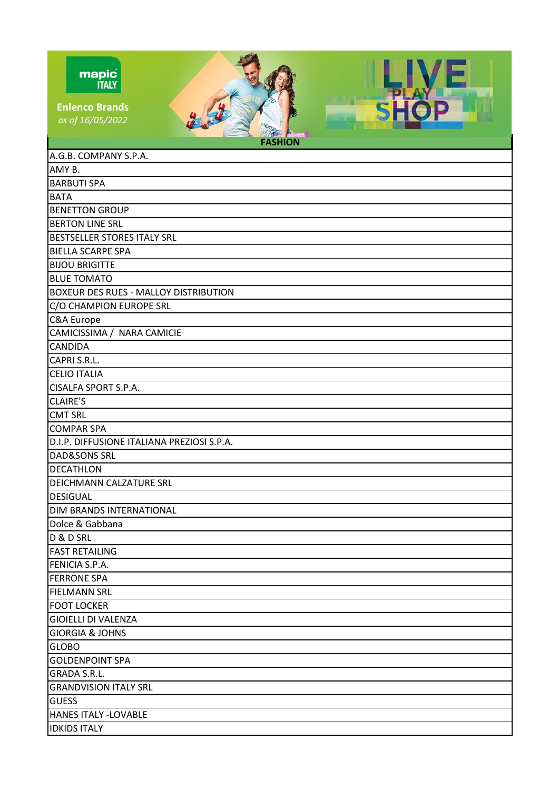| mapic |              |
|-------|--------------|
|       | <b>ITALY</b> |

**Enlenco Brands** *as of 16/05/2022*

 $\frac{u}{u}$ 

| $\sim$ $\frac{1}{2}$<br><b>FASHION</b>       |
|----------------------------------------------|
| A.G.B. COMPANY S.P.A.                        |
| AMY B.                                       |
| <b>BARBUTI SPA</b>                           |
| <b>BATA</b>                                  |
| <b>BENETTON GROUP</b>                        |
| <b>BERTON LINE SRL</b>                       |
| BESTSELLER STORES ITALY SRL                  |
| <b>BIELLA SCARPE SPA</b>                     |
| <b>BIJOU BRIGITTE</b>                        |
| <b>BLUE TOMATO</b>                           |
| <b>BOXEUR DES RUES - MALLOY DISTRIBUTION</b> |
| C/O CHAMPION EUROPE SRL                      |
| C&A Europe                                   |
| CAMICISSIMA / NARA CAMICIE                   |
| <b>CANDIDA</b>                               |
| CAPRI S.R.L.                                 |
| <b>CELIO ITALIA</b>                          |
| <b>CISALFA SPORT S.P.A.</b>                  |
| <b>CLAIRE'S</b>                              |
| <b>CMT SRL</b>                               |
| <b>COMPAR SPA</b>                            |
| D.I.P. DIFFUSIONE ITALIANA PREZIOSI S.P.A.   |
| <b>DAD&amp;SONS SRL</b>                      |
| <b>DECATHLON</b>                             |
| DEICHMANN CALZATURE SRL                      |
| <b>DESIGUAL</b>                              |
| DIM BRANDS INTERNATIONAL                     |
| Dolce & Gabbana                              |
| D & D SRL                                    |
| <b>FAST RETAILING</b>                        |
| <b>FENICIA S.P.A.</b>                        |
| <b>FERRONE SPA</b>                           |
| <b>FIELMANN SRL</b>                          |
| <b>FOOT LOCKER</b>                           |
| <b>GIOIELLI DI VALENZA</b>                   |
| <b>GIORGIA &amp; JOHNS</b>                   |
| <b>GLOBO</b>                                 |
| <b>GOLDENPOINT SPA</b>                       |
| <b>GRADA S.R.L.</b>                          |
| <b>GRANDVISION ITALY SRL</b>                 |
| <b>GUESS</b>                                 |
| <b>HANES ITALY -LOVABLE</b>                  |
| <b>IDKIDS ITALY</b>                          |

**VE** 

P

**SHO**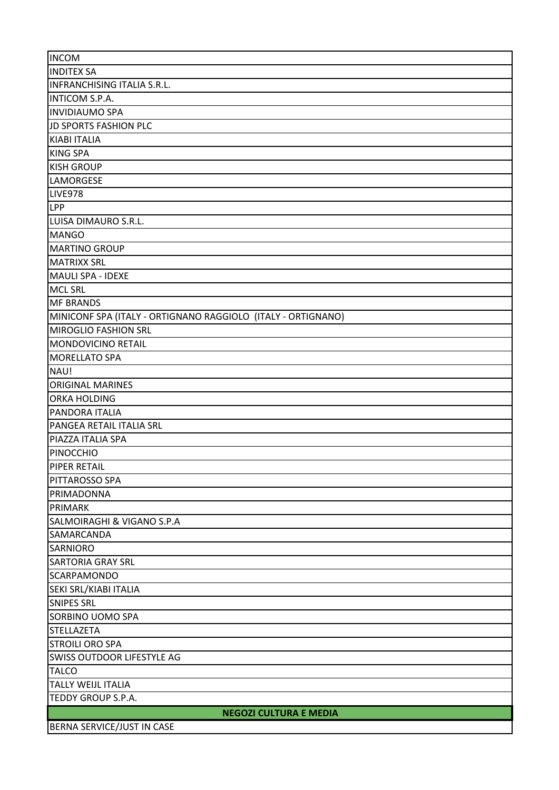| <b>INCOM</b>                                                 |
|--------------------------------------------------------------|
| <b>INDITEX SA</b>                                            |
| INFRANCHISING ITALIA S.R.L.                                  |
| <b>INTICOM S.P.A.</b>                                        |
| <b>INVIDIAUMO SPA</b>                                        |
| <b>JD SPORTS FASHION PLC</b>                                 |
| <b>KIABI ITALIA</b>                                          |
| <b>KING SPA</b>                                              |
| <b>KISH GROUP</b>                                            |
| <b>LAMORGESE</b>                                             |
| LIVE978                                                      |
| <b>LPP</b>                                                   |
| LUISA DIMAURO S.R.L.                                         |
| <b>MANGO</b>                                                 |
| <b>MARTINO GROUP</b>                                         |
| <b>MATRIXX SRL</b>                                           |
| <b>MAULI SPA - IDEXE</b>                                     |
| <b>MCL SRL</b>                                               |
| <b>MF BRANDS</b>                                             |
| MINICONF SPA (ITALY - ORTIGNANO RAGGIOLO (ITALY - ORTIGNANO) |
| <b>MIROGLIO FASHION SRL</b>                                  |
| MONDOVICINO RETAIL                                           |
| <b>MORELLATO SPA</b>                                         |
| NAU!                                                         |
| <b>ORIGINAL MARINES</b>                                      |
| <b>ORKA HOLDING</b>                                          |
| PANDORA ITALIA                                               |
| PANGEA RETAIL ITALIA SRL                                     |
| PIAZZA ITALIA SPA                                            |
| PINOCCHIO                                                    |
| <b>PIPER RETAIL</b>                                          |
| PITTAROSSO SPA                                               |
| PRIMADONNA                                                   |
| <b>PRIMARK</b>                                               |
| SALMOIRAGHI & VIGANO S.P.A                                   |
|                                                              |
| SAMARCANDA<br><b>SARNIORO</b>                                |
|                                                              |
| <b>SARTORIA GRAY SRL</b>                                     |
| <b>SCARPAMONDO</b>                                           |
| SEKI SRL/KIABI ITALIA                                        |
| <b>SNIPES SRL</b>                                            |
| SORBINO UOMO SPA                                             |
| <b>STELLAZETA</b><br><b>STROILI ORO SPA</b>                  |
|                                                              |
| <b>SWISS OUTDOOR LIFESTYLE AG</b>                            |
| <b>TALCO</b>                                                 |
| <b>TALLY WEIJL ITALIA</b>                                    |
| TEDDY GROUP S.P.A.                                           |
| <b>NEGOZI CULTURA E MEDIA</b>                                |
| BERNA SERVICE/JUST IN CASE                                   |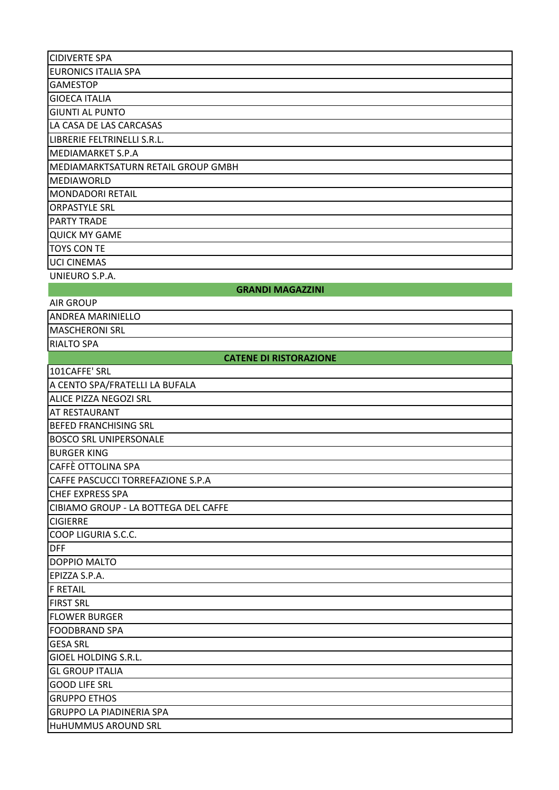| <b>CIDIVERTE SPA</b>                 |
|--------------------------------------|
| <b>EURONICS ITALIA SPA</b>           |
| <b>GAMESTOP</b>                      |
| <b>GIOECA ITALIA</b>                 |
| <b>GIUNTI AL PUNTO</b>               |
| LA CASA DE LAS CARCASAS              |
| LIBRERIE FELTRINELLI S.R.L.          |
| <b>MEDIAMARKET S.P.A</b>             |
| MEDIAMARKTSATURN RETAIL GROUP GMBH   |
| <b>MEDIAWORLD</b>                    |
| <b>MONDADORI RETAIL</b>              |
| <b>ORPASTYLE SRL</b>                 |
| <b>PARTY TRADE</b>                   |
| <b>QUICK MY GAME</b>                 |
| <b>TOYS CON TE</b>                   |
| <b>UCI CINEMAS</b>                   |
| UNIEURO S.P.A.                       |
| <b>GRANDI MAGAZZINI</b>              |
| <b>AIR GROUP</b>                     |
| <b>ANDREA MARINIELLO</b>             |
| <b>MASCHERONI SRL</b>                |
| <b>RIALTO SPA</b>                    |
| <b>CATENE DI RISTORAZIONE</b>        |
| 101CAFFE' SRL                        |
| A CENTO SPA/FRATELLI LA BUFALA       |
| <b>ALICE PIZZA NEGOZI SRL</b>        |
| <b>AT RESTAURANT</b>                 |
| <b>BEFED FRANCHISING SRL</b>         |
| <b>BOSCO SRL UNIPERSONALE</b>        |
| <b>BURGER KING</b>                   |
| CAFFÈ OTTOLINA SPA                   |
| CAFFE PASCUCCI TORREFAZIONE S.P.A    |
| <b>CHEF EXPRESS SPA</b>              |
| CIBIAMO GROUP - LA BOTTEGA DEL CAFFE |
| <b>CIGIERRE</b>                      |
| COOP LIGURIA S.C.C.                  |
| <b>DFF</b>                           |
| DOPPIO MALTO                         |
| EPIZZA S.P.A.                        |
| <b>F RETAIL</b>                      |
| <b>FIRST SRL</b>                     |
| <b>FLOWER BURGER</b>                 |
| <b>FOODBRAND SPA</b>                 |
| <b>GESA SRL</b>                      |
| <b>GIOEL HOLDING S.R.L.</b>          |
| <b>GL GROUP ITALIA</b>               |
| <b>GOOD LIFE SRL</b>                 |
| <b>GRUPPO ETHOS</b>                  |
| <b>GRUPPO LA PIADINERIA SPA</b>      |
| HuHUMMUS AROUND SRL                  |
|                                      |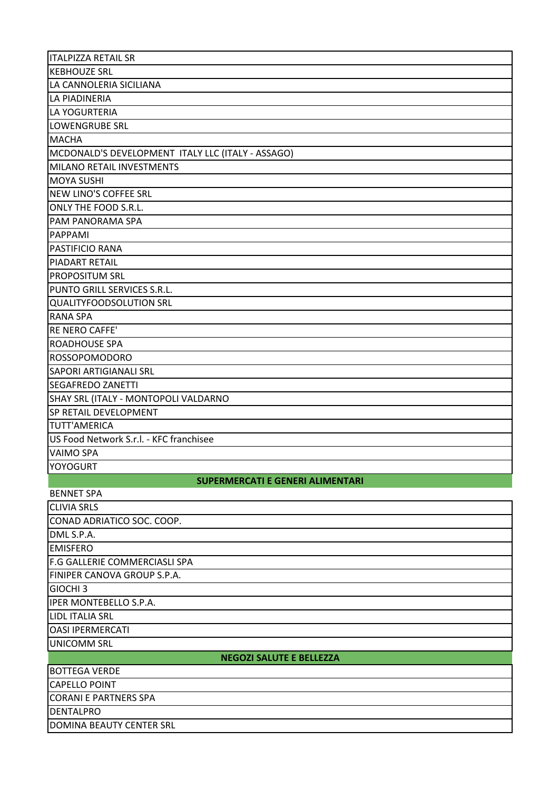| <b>ITALPIZZA RETAIL SR</b>                        |
|---------------------------------------------------|
| <b>KEBHOUZE SRL</b>                               |
| LA CANNOLERIA SICILIANA                           |
| LA PIADINERIA                                     |
| LA YOGURTERIA                                     |
| LOWENGRUBE SRL                                    |
| <b>MACHA</b>                                      |
| MCDONALD'S DEVELOPMENT ITALY LLC (ITALY - ASSAGO) |
| MILANO RETAIL INVESTMENTS                         |
| <b>MOYA SUSHI</b>                                 |
| NEW LINO'S COFFEE SRL                             |
| ONLY THE FOOD S.R.L.                              |
| PAM PANORAMA SPA                                  |
| PAPPAMI                                           |
| <b>PASTIFICIO RANA</b>                            |
| <b>PIADART RETAIL</b>                             |
| <b>PROPOSITUM SRL</b>                             |
| PUNTO GRILL SERVICES S.R.L.                       |
| QUALITYFOODSOLUTION SRL                           |
| <b>RANA SPA</b>                                   |
| RE NERO CAFFE'                                    |
| <b>ROADHOUSE SPA</b>                              |
| ROSSOPOMODORO                                     |
| <b>SAPORI ARTIGIANALI SRL</b>                     |
| <b>SEGAFREDO ZANETTI</b>                          |
| SHAY SRL (ITALY - MONTOPOLI VALDARNO              |
| <b>SP RETAIL DEVELOPMENT</b>                      |
| <b>TUTT'AMERICA</b>                               |
| US Food Network S.r.l. - KFC franchisee           |
| <b>VAIMO SPA</b>                                  |
| <b>YOYOGURT</b>                                   |
| <b>SUPERMERCATI E GENERI ALIMENTARI</b>           |
| <b>BENNET SPA</b>                                 |
| <b>CLIVIA SRLS</b>                                |
| CONAD ADRIATICO SOC. COOP.                        |
| DML S.P.A.                                        |
| <b>EMISFERO</b>                                   |
| F.G GALLERIE COMMERCIASLI SPA                     |
| FINIPER CANOVA GROUP S.P.A.                       |
| <b>GIOCHI3</b>                                    |
| IPER MONTEBELLO S.P.A.                            |
| LIDL ITALIA SRL                                   |
| <b>OASI IPERMERCATI</b>                           |
| <b>UNICOMM SRL</b>                                |
| <b>NEGOZI SALUTE E BELLEZZA</b>                   |
| <b>BOTTEGA VERDE</b>                              |
| <b>CAPELLO POINT</b>                              |
| <b>CORANI E PARTNERS SPA</b>                      |
| <b>DENTALPRO</b>                                  |
| <b>DOMINA BEAUTY CENTER SRL</b>                   |